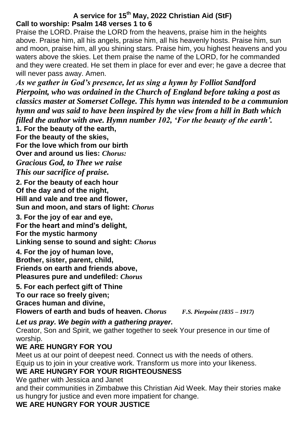## **A service for 15th May, 2022 Christian Aid (StF) Call to worship: Psalm 148 verses 1 to 6**

Praise the LORD. Praise the LORD from the heavens, praise him in the heights above. Praise him, all his angels, praise him, all his heavenly hosts. Praise him, sun and moon, praise him, all you shining stars. Praise him, you highest heavens and you waters above the skies. Let them praise the name of the LORD, for he commanded and they were created. He set them in place for ever and ever; he gave a decree that will never pass away. Amen.

*As we gather in God's presence, let us sing a hymn by Folliot Sandford Pierpoint, who was ordained in the Church of England before taking a post as classics master at Somerset College. This hymn was intended to be a communion hymn and was said to have been inspired by the view from a hill in Bath which filled the author with awe. Hymn number 102, 'For the beauty of the earth'.* **1***.* **For the beauty of the earth,**

**For the beauty of the skies,**

**For the love which from our birth Over and around us lies:** *Chorus: Gracious God, to Thee we raise This our sacrifice of praise.*

**2. For the beauty of each hour Of the day and of the night, Hill and vale and tree and flower, Sun and moon, and stars of light:** *Chorus*

**3. For the joy of ear and eye, For the heart and mind's delight, For the mystic harmony Linking sense to sound and sight:** *Chorus*

**4. For the joy of human love, Brother, sister, parent, child, Friends on earth and friends above, Pleasures pure and undefiled:** *Chorus*

**5. For each perfect gift of Thine To our race so freely given; Graces human and divine, Flowers of earth and buds of heaven.** *Chorus F.S. Pierpoint (1835 – 1917)*

### *Let us pray. We begin with a gathering prayer.*

Creator, Son and Spirit, we gather together to seek Your presence in our time of worship.

## **WE ARE HUNGRY FOR YOU**

Meet us at our point of deepest need. Connect us with the needs of others. Equip us to join in your creative work. Transform us more into your likeness.

# **WE ARE HUNGRY FOR YOUR RIGHTEOUSNESS**

We gather with Jessica and Janet

and their communities in Zimbabwe this Christian Aid Week. May their stories make us hungry for justice and even more impatient for change.

# **WE ARE HUNGRY FOR YOUR JUSTICE**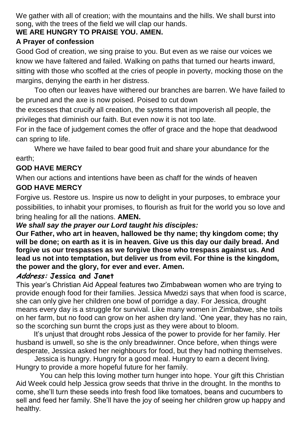We gather with all of creation; with the mountains and the hills. We shall burst into song, with the trees of the field we will clap our hands.

### **WE ARE HUNGRY TO PRAISE YOU. AMEN.**

### **A Prayer of confession**

Good God of creation, we sing praise to you. But even as we raise our voices we know we have faltered and failed. Walking on paths that turned our hearts inward, sitting with those who scoffed at the cries of people in poverty, mocking those on the margins, denying the earth in her distress.

Too often our leaves have withered our branches are barren. We have failed to be pruned and the axe is now poised. Poised to cut down

the excesses that crucify all creation, the systems that impoverish all people, the privileges that diminish our faith. But even now it is not too late.

For in the face of judgement comes the offer of grace and the hope that deadwood can spring to life.

Where we have failed to bear good fruit and share your abundance for the earth;

## **GOD HAVE MERCY**

When our actions and intentions have been as chaff for the winds of heaven **GOD HAVE MERCY**

Forgive us. Restore us. Inspire us now to delight in your purposes, to embrace your possibilities, to inhabit your promises, to flourish as fruit for the world you so love and bring healing for all the nations. **AMEN.**

### *We shall say the prayer our Lord taught his disciples:*

**Our Father, who art in heaven, hallowed be thy name; thy kingdom come; thy will be done; on earth as it is in heaven. Give us this day our daily bread. And forgive us our trespasses as we forgive those who trespass against us. And lead us not into temptation, but deliver us from evil. For thine is the kingdom, the power and the glory, for ever and ever. Amen.**

### **Address: Jessica and Janet**

This year's Christian Aid Appeal features two Zimbabwean women who are trying to provide enough food for their families. Jessica Mwedzi says that when food is scarce, she can only give her children one bowl of porridge a day. For Jessica, drought means every day is a struggle for survival. Like many women in Zimbabwe, she toils on her farm, but no food can grow on her ashen dry land. 'One year, they has no rain, so the scorching sun burnt the crops just as they were about to bloom.

 It's unjust that drought robs Jessica of the power to provide for her family. Her husband is unwell, so she is the only breadwinner. Once before, when things were desperate, Jessica asked her neighbours for food, but they had nothing themselves.

Jessica is hungry. Hungry for a good meal. Hungry to earn a decent living. Hungry to provide a more hopeful future for her family.

 You can help this loving mother turn hunger into hope. Your gift this Christian Aid Week could help Jessica grow seeds that thrive in the drought. In the months to come, she'll turn these seeds into fresh food like tomatoes, beans and cucumbers to sell and feed her family. She'll have the joy of seeing her children grow up happy and healthy.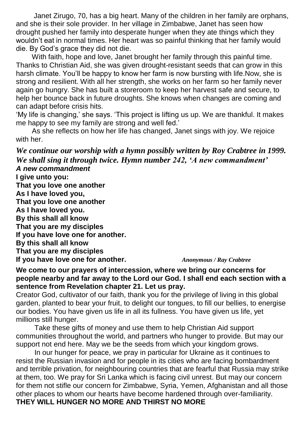Janet Zirugo, 70, has a big heart. Many of the children in her family are orphans, and she is their sole provider. In her village in Zimbabwe, Janet has seen how drought pushed her family into desperate hunger when they ate things which they wouldn't eat in normal times. Her heart was so painful thinking that her family would die. By God's grace they did not die.

 With faith, hope and love, Janet brought her family through this painful time. Thanks to Christian Aid, she was given drought-resistant seeds that can grow in this harsh climate. You'll be happy to know her farm is now bursting with life.Now, she is strong and resilient. With all her strength, she works on her farm so her family never again go hungry. She has built a storeroom to keep her harvest safe and secure, to help her bounce back in future droughts. She knows when changes are coming and can adapt before crisis hits.

'My life is changing,' she says. 'This project is lifting us up. We are thankful. It makes me happy to see my family are strong and well fed.'

 As she reflects on how her life has changed, Janet sings with joy. We rejoice with her.

*We continue our worship with a hymn possibly written by Roy Crabtree in 1999. We shall sing it through twice. Hymn number 242, 'A new commandment' A new commandment*

**I give unto you: That you love one another As I have loved you, That you love one another As I have loved you. By this shall all know That you are my disciples If you have love one for another. By this shall all know That you are my disciples If you have love one for another.** *Anonymous / Ray Crabtree*

**We come to our prayers of intercession, where we bring our concerns for people nearby and far away to the Lord our God. I shall end each section with a sentence from Revelation chapter 21. Let us pray.**

Creator God, cultivator of our faith, thank you for the privilege of living in this global garden, planted to bear your fruit, to delight our tongues, to fill our bellies, to energise our bodies. You have given us life in all its fullness. You have given us life, yet millions still hunger.

Take these gifts of money and use them to help Christian Aid support communities throughout the world, and partners who hunger to provide. But may our support not end here. May we be the seeds from which your kingdom grows.

In our hunger for peace, we pray in particular for Ukraine as it continues to resist the Russian invasion and for people in its cities who are facing bombardment and terrible privation, for neighbouring countries that are fearful that Russia may strike at them, too. We pray for Sri Lanka which is facing civil unrest. But may our concern for them not stifle our concern for Zimbabwe, Syria, Yemen, Afghanistan and all those other places to whom our hearts have become hardened through over-familiarity. **THEY WILL HUNGER NO MORE AND THIRST NO MORE**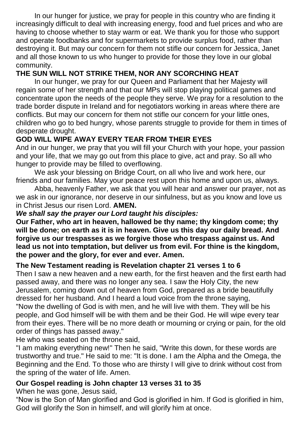In our hunger for justice, we pray for people in this country who are finding it increasingly difficult to deal with increasing energy, food and fuel prices and who are having to choose whether to stay warm or eat. We thank you for those who support and operate foodbanks and for supermarkets to provide surplus food, rather than destroying it. But may our concern for them not stifle our concern for Jessica, Janet and all those known to us who hunger to provide for those they love in our global community.

## **THE SUN WILL NOT STRIKE THEM, NOR ANY SCORCHING HEAT**

In our hunger, we pray for our Queen and Parliament that her Majesty will regain some of her strength and that our MPs will stop playing political games and concentrate upon the needs of the people they serve. We pray for a resolution to the trade border dispute in Ireland and for negotiators working in areas where there are conflicts. But may our concern for them not stifle our concern for your little ones, children who go to bed hungry, whose parents struggle to provide for them in times of desperate drought.

## **GOD WILL WIPE AWAY EVERY TEAR FROM THEIR EYES**

And in our hunger, we pray that you will fill your Church with your hope, your passion and your life, that we may go out from this place to give, act and pray. So all who hunger to provide may be filled to overflowing.

We ask your blessing on Bridge Court, on all who live and work here, our friends and our families. May your peace rest upon this home and upon us, always.

Abba, heavenly Father, we ask that you will hear and answer our prayer, not as we ask in our ignorance, nor deserve in our sinfulness, but as you know and love us in Christ Jesus our risen Lord. **AMEN.**

#### *We shall say the prayer our Lord taught his disciples:*

**Our Father, who art in heaven, hallowed be thy name; thy kingdom come; thy will be done; on earth as it is in heaven. Give us this day our daily bread. And forgive us our trespasses as we forgive those who trespass against us. And lead us not into temptation, but deliver us from evil. For thine is the kingdom, the power and the glory, for ever and ever. Amen.**

### **The New Testament reading is Revelation chapter 21 verses 1 to 6**

Then I saw a new heaven and a new earth, for the first heaven and the first earth had passed away, and there was no longer any sea. I saw the Holy City, the new Jerusalem, coming down out of heaven from God, prepared as a bride beautifully dressed for her husband. And I heard a loud voice from the throne saying, "Now the dwelling of God is with men, and he will live with them. They will be his people, and God himself will be with them and be their God. He will wipe every tear from their eyes. There will be no more death or mourning or crying or pain, for the old order of things has passed away."

He who was seated on the throne said,

"I am making everything new!" Then he said, "Write this down, for these words are trustworthy and true." He said to me: "It is done. I am the Alpha and the Omega, the Beginning and the End. To those who are thirsty I will give to drink without cost from the spring of the water of life. Amen.

## **Our Gospel reading is John chapter 13 verses 31 to 35**

When he was gone, Jesus said,

"Now is the Son of Man glorified and God is glorified in him. If God is glorified in him, God will glorify the Son in himself, and will glorify him at once.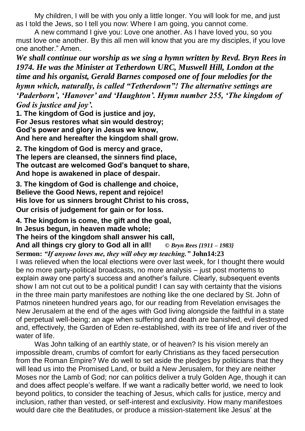My children, I will be with you only a little longer. You will look for me, and just as I told the Jews, so I tell you now: Where I am going, you cannot come.

A new command I give you: Love one another. As I have loved you, so you must love one another. By this all men will know that you are my disciples, if you love one another." Amen.

*We shall continue our worship as we sing a hymn written by Revd. Bryn Rees in 1974. He was the Minister at Tetherdown URC, Muswell Hill, London at the time and his organist, Gerald Barnes composed one of four melodies for the hymn which, naturally, is called "Tetherdown"! The alternative settings are 'Paderborn', 'Hanover' and 'Haughton'. Hymn number 255, 'The kingdom of God is justice and joy'.*

**1. The kingdom of God is justice and joy, For Jesus restores what sin would destroy; God's power and glory in Jesus we know, And here and hereafter the kingdom shall grow.** 

**2. The kingdom of God is mercy and grace, The lepers are cleansed, the sinners find place, The outcast are welcomed God's banquet to share, And hope is awakened in place of despair.**

**3. The kingdom of God is challenge and choice, Believe the Good News, repent and rejoice! His love for us sinners brought Christ to his cross, Our crisis of judgement for gain or for loss.**

**4. The kingdom is come, the gift and the goal,**

**In Jesus begun, in heaven made whole;** 

**The heirs of the kingdom shall answer his call,** 

**And all things cry glory to God all in all!** *© Bryn Rees {1911 – 1983}*

**Sermon:** *"If anyone loves me, they will obey my teaching."* **John14:23**

I was relieved when the local elections were over last week, for I thought there would be no more party-political broadcasts, no more analysis – just post mortems to explain away one party's success and another's failure. Clearly, subsequent events show I am not cut out to be a political pundit! I can say with certainty that the visions in the three main party manifestoes are nothing like the one declared by St. John of Patmos nineteen hundred years ago, for our reading from Revelation envisages the New Jerusalem at the end of the ages with God living alongside the faithful in a state of perpetual well-being; an age when suffering and death are banished, evil destroyed and, effectively, the Garden of Eden re-established, with its tree of life and river of the water of life.

Was John talking of an earthly state, or of heaven? Is his vision merely an impossible dream, crumbs of comfort for early Christians as they faced persecution from the Roman Empire? We do well to set aside the pledges by politicians that they will lead us into the Promised Land, or build a New Jerusalem, for they are neither Moses nor the Lamb of God; nor can politics deliver a truly Golden Age, though it can and does affect people's welfare. If we want a radically better world, we need to look beyond politics, to consider the teaching of Jesus, which calls for justice, mercy and inclusion, rather than vested, or self-interest and exclusivity. How many manifestoes would dare cite the Beatitudes, or produce a mission-statement like Jesus' at the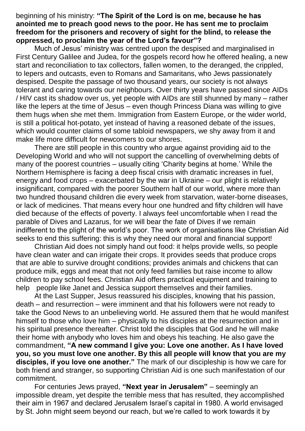beginning of his ministry: **"The Spirit of the Lord is on me, because he has anointed me to preach good news to the poor. He has sent me to proclaim freedom for the prisoners and recovery of sight for the blind, to release the oppressed, to proclaim the year of the Lord's favour"?**

Much of Jesus' ministry was centred upon the despised and marginalised in First Century Galilee and Judea, for the gospels record how he offered healing, a new start and reconciliation to tax collectors, fallen women, to the deranged, the crippled, to lepers and outcasts, even to Romans and Samaritans, who Jews passionately despised. Despite the passage of two thousand years, our society is not always tolerant and caring towards our neighbours. Over thirty years have passed since AIDs / HIV cast its shadow over us, yet people with AIDs are still shunned by many – rather like the lepers at the time of Jesus – even though Princess Diana was willing to give them hugs when she met them. Immigration from Eastern Europe, or the wider world, is still a political hot-potato, yet instead of having a reasoned debate of the issues, which would counter claims of some tabloid newspapers, we shy away from it and make life more difficult for newcomers to our shores.

There are still people in this country who argue against providing aid to the Developing World and who will not support the cancelling of overwhelming debts of many of the poorest countries – usually citing 'Charity begins at home.' While the Northern Hemisphere is facing a deep fiscal crisis with dramatic increases in fuel, energy and food crops – exacerbated by the war in Ukraine – our plight is relatively insignificant, compared with the poorer Southern half of our world, where more than two hundred thousand children die every week from starvation, water-borne diseases, or lack of medicines. That means every hour one hundred and fifty children will have died because of the effects of poverty. I always feel uncomfortable when I read the parable of Dives and Lazarus, for we will bear the fate of Dives if we remain indifferent to the plight of the world's poor. The work of organisations like Christian Aid seeks to end this suffering: this is why they need our moral and financial support!

Christian Aid does not simply hand out food: it helps provide wells, so people have clean water and can irrigate their crops. It provides seeds that produce crops that are able to survive drought conditions; provides animals and chickens that can produce milk, eggs and meat that not only feed families but raise income to allow children to pay school fees. Christian Aid offers practical equipment and training to help people like Janet and Jessica support themselves and their families.

At the Last Supper, Jesus reassured his disciples, knowing that his passion, death – and resurrection – were imminent and that his followers were not ready to take the Good News to an unbelieving world. He assured them that he would manifest himself to those who love him – physically to his disciples at the resurrection and in his spiritual presence thereafter. Christ told the disciples that God and he will make their home with anybody who loves him and obeys his teaching. He also gave the commandment, **"A new command I give you: Love one another. As I have loved you, so you must love one another. By this all people will know that you are my disciples, if you love one another."** The mark of our discipleship is how we care for both friend and stranger, so supporting Christian Aid is one such manifestation of our commitment.

For centuries Jews prayed, **"Next year in Jerusalem"** – seemingly an impossible dream, yet despite the terrible mess that has resulted, they accomplished their aim in 1967 and declared Jerusalem Israel's capital in 1980. A world envisaged by St. John might seem beyond our reach, but we're called to work towards it by